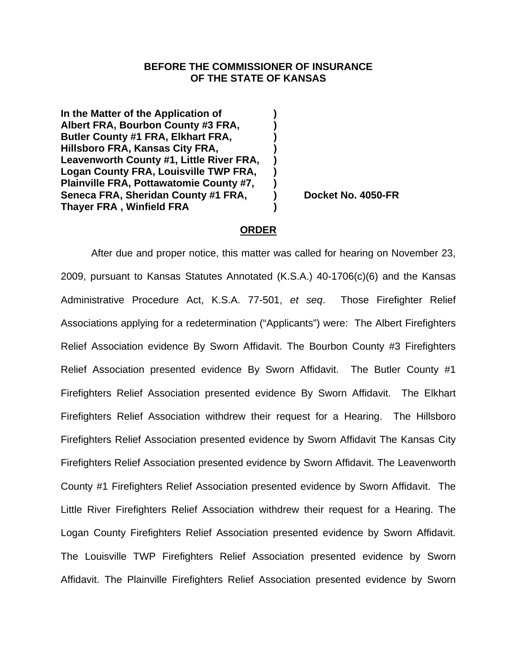## **BEFORE THE COMMISSIONER OF INSURANCE OF THE STATE OF KANSAS**

**In the Matter of the Application of ) Albert FRA, Bourbon County #3 FRA, ) Butler County #1 FRA, Elkhart FRA, ) Hillsboro FRA, Kansas City FRA, ) Leavenworth County #1, Little River FRA, ) Logan County FRA, Louisville TWP FRA, ) Plainville FRA, Pottawatomie County #7, )**  Seneca FRA, Sheridan County #1 FRA, Correct No. 4050-FR **Thayer FRA , Winfield FRA )** 

## **ORDER**

After due and proper notice, this matter was called for hearing on November 23, 2009, pursuant to Kansas Statutes Annotated (K.S.A.) 40-1706(c)(6) and the Kansas Administrative Procedure Act, K.S.A. 77-501, *et seq*.Those Firefighter Relief Associations applying for a redetermination ("Applicants") were: The Albert Firefighters Relief Association evidence By Sworn Affidavit. The Bourbon County #3 Firefighters Relief Association presented evidence By Sworn Affidavit. The Butler County #1 Firefighters Relief Association presented evidence By Sworn Affidavit. The Elkhart Firefighters Relief Association withdrew their request for a Hearing. The Hillsboro Firefighters Relief Association presented evidence by Sworn Affidavit The Kansas City Firefighters Relief Association presented evidence by Sworn Affidavit. The Leavenworth County #1 Firefighters Relief Association presented evidence by Sworn Affidavit. The Little River Firefighters Relief Association withdrew their request for a Hearing. The Logan County Firefighters Relief Association presented evidence by Sworn Affidavit. The Louisville TWP Firefighters Relief Association presented evidence by Sworn Affidavit. The Plainville Firefighters Relief Association presented evidence by Sworn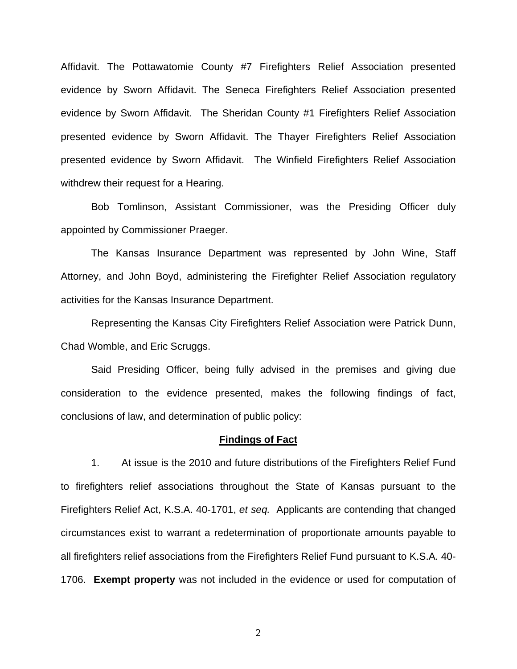Affidavit. The Pottawatomie County #7 Firefighters Relief Association presented evidence by Sworn Affidavit. The Seneca Firefighters Relief Association presented evidence by Sworn Affidavit. The Sheridan County #1 Firefighters Relief Association presented evidence by Sworn Affidavit. The Thayer Firefighters Relief Association presented evidence by Sworn Affidavit. The Winfield Firefighters Relief Association withdrew their request for a Hearing.

 Bob Tomlinson, Assistant Commissioner, was the Presiding Officer duly appointed by Commissioner Praeger.

 The Kansas Insurance Department was represented by John Wine, Staff Attorney, and John Boyd, administering the Firefighter Relief Association regulatory activities for the Kansas Insurance Department.

 Representing the Kansas City Firefighters Relief Association were Patrick Dunn, Chad Womble, and Eric Scruggs.

 Said Presiding Officer, being fully advised in the premises and giving due consideration to the evidence presented, makes the following findings of fact, conclusions of law, and determination of public policy:

#### **Findings of Fact**

1. At issue is the 2010 and future distributions of the Firefighters Relief Fund to firefighters relief associations throughout the State of Kansas pursuant to the Firefighters Relief Act, K.S.A. 40-1701, *et seq.* Applicants are contending that changed circumstances exist to warrant a redetermination of proportionate amounts payable to all firefighters relief associations from the Firefighters Relief Fund pursuant to K.S.A. 40- 1706. **Exempt property** was not included in the evidence or used for computation of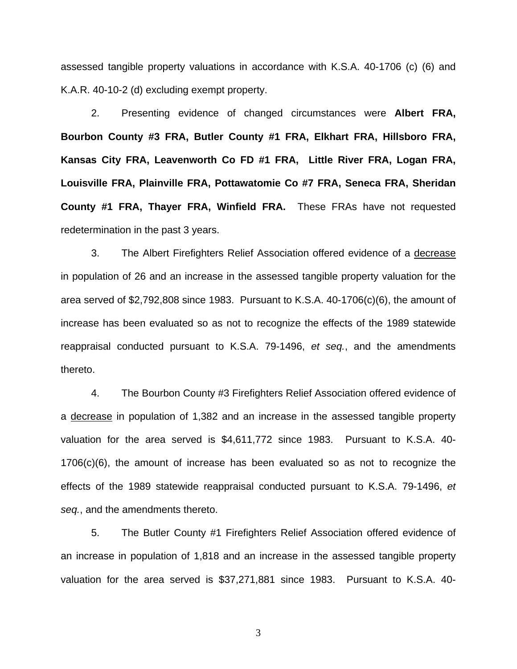assessed tangible property valuations in accordance with K.S.A. 40-1706 (c) (6) and K.A.R. 40-10-2 (d) excluding exempt property.

2. Presenting evidence of changed circumstances were **Albert FRA, Bourbon County #3 FRA, Butler County #1 FRA, Elkhart FRA, Hillsboro FRA, Kansas City FRA, Leavenworth Co FD #1 FRA, Little River FRA, Logan FRA, Louisville FRA, Plainville FRA, Pottawatomie Co #7 FRA, Seneca FRA, Sheridan County #1 FRA, Thayer FRA, Winfield FRA.** These FRAs have not requested redetermination in the past 3 years.

3. The Albert Firefighters Relief Association offered evidence of a decrease in population of 26 and an increase in the assessed tangible property valuation for the area served of \$2,792,808 since 1983. Pursuant to K.S.A. 40-1706(c)(6), the amount of increase has been evaluated so as not to recognize the effects of the 1989 statewide reappraisal conducted pursuant to K.S.A. 79-1496, *et seq.*, and the amendments thereto.

4. The Bourbon County #3 Firefighters Relief Association offered evidence of a decrease in population of 1,382 and an increase in the assessed tangible property valuation for the area served is \$4,611,772 since 1983. Pursuant to K.S.A. 40- 1706(c)(6), the amount of increase has been evaluated so as not to recognize the effects of the 1989 statewide reappraisal conducted pursuant to K.S.A. 79-1496, *et seq.*, and the amendments thereto.

5. The Butler County #1 Firefighters Relief Association offered evidence of an increase in population of 1,818 and an increase in the assessed tangible property valuation for the area served is \$37,271,881 since 1983. Pursuant to K.S.A. 40-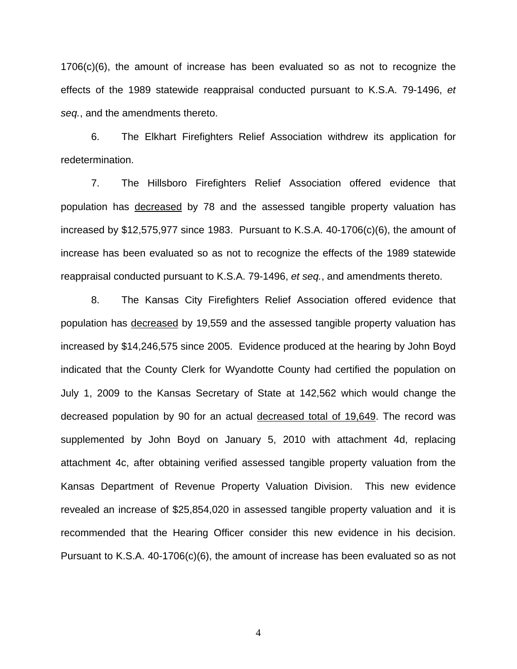1706(c)(6), the amount of increase has been evaluated so as not to recognize the effects of the 1989 statewide reappraisal conducted pursuant to K.S.A. 79-1496, *et seq.*, and the amendments thereto.

 6. The Elkhart Firefighters Relief Association withdrew its application for redetermination.

 7. The Hillsboro Firefighters Relief Association offered evidence that population has decreased by 78 and the assessed tangible property valuation has increased by \$12,575,977 since 1983. Pursuant to K.S.A. 40-1706(c)(6), the amount of increase has been evaluated so as not to recognize the effects of the 1989 statewide reappraisal conducted pursuant to K.S.A. 79-1496, *et seq.*, and amendments thereto.

8. The Kansas City Firefighters Relief Association offered evidence that population has decreased by 19,559 and the assessed tangible property valuation has increased by \$14,246,575 since 2005. Evidence produced at the hearing by John Boyd indicated that the County Clerk for Wyandotte County had certified the population on July 1, 2009 to the Kansas Secretary of State at 142,562 which would change the decreased population by 90 for an actual decreased total of 19,649. The record was supplemented by John Boyd on January 5, 2010 with attachment 4d, replacing attachment 4c, after obtaining verified assessed tangible property valuation from the Kansas Department of Revenue Property Valuation Division. This new evidence revealed an increase of \$25,854,020 in assessed tangible property valuation and it is recommended that the Hearing Officer consider this new evidence in his decision. Pursuant to K.S.A. 40-1706(c)(6), the amount of increase has been evaluated so as not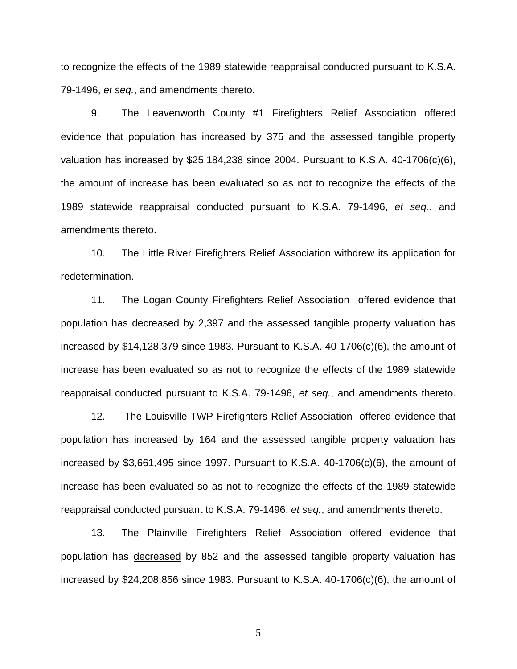to recognize the effects of the 1989 statewide reappraisal conducted pursuant to K.S.A. 79-1496, *et seq.*, and amendments thereto.

9. The Leavenworth County #1 Firefighters Relief Association offered evidence that population has increased by 375 and the assessed tangible property valuation has increased by \$25,184,238 since 2004. Pursuant to K.S.A. 40-1706(c)(6), the amount of increase has been evaluated so as not to recognize the effects of the 1989 statewide reappraisal conducted pursuant to K.S.A. 79-1496, *et seq.*, and amendments thereto.

 10. The Little River Firefighters Relief Association withdrew its application for redetermination.

 11. The Logan County Firefighters Relief Association offered evidence that population has decreased by 2,397 and the assessed tangible property valuation has increased by \$14,128,379 since 1983. Pursuant to K.S.A. 40-1706(c)(6), the amount of increase has been evaluated so as not to recognize the effects of the 1989 statewide reappraisal conducted pursuant to K.S.A. 79-1496, *et seq.*, and amendments thereto.

 12. The Louisville TWP Firefighters Relief Association offered evidence that population has increased by 164 and the assessed tangible property valuation has increased by \$3,661,495 since 1997. Pursuant to K.S.A. 40-1706(c)(6), the amount of increase has been evaluated so as not to recognize the effects of the 1989 statewide reappraisal conducted pursuant to K.S.A. 79-1496, *et seq.*, and amendments thereto.

13. The Plainville Firefighters Relief Association offered evidence that population has decreased by 852 and the assessed tangible property valuation has increased by \$24,208,856 since 1983. Pursuant to K.S.A. 40-1706(c)(6), the amount of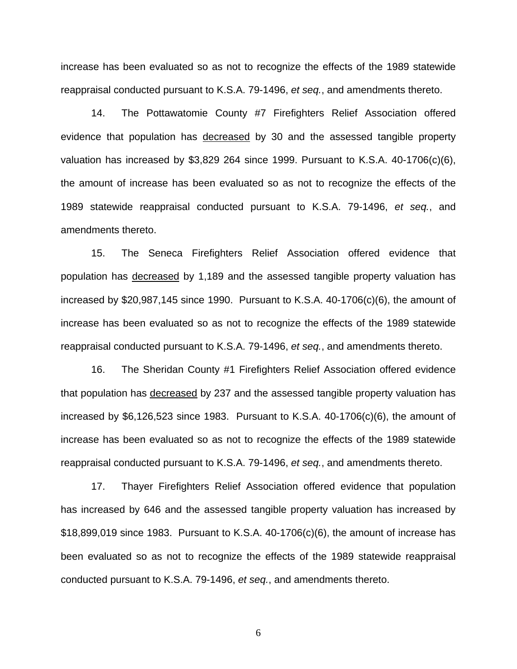increase has been evaluated so as not to recognize the effects of the 1989 statewide reappraisal conducted pursuant to K.S.A. 79-1496, *et seq.*, and amendments thereto.

14. The Pottawatomie County #7 Firefighters Relief Association offered evidence that population has decreased by 30 and the assessed tangible property valuation has increased by \$3,829 264 since 1999. Pursuant to K.S.A. 40-1706(c)(6), the amount of increase has been evaluated so as not to recognize the effects of the 1989 statewide reappraisal conducted pursuant to K.S.A. 79-1496, *et seq.*, and amendments thereto.

 15. The Seneca Firefighters Relief Association offered evidence that population has decreased by 1,189 and the assessed tangible property valuation has increased by \$20,987,145 since 1990. Pursuant to K.S.A. 40-1706(c)(6), the amount of increase has been evaluated so as not to recognize the effects of the 1989 statewide reappraisal conducted pursuant to K.S.A. 79-1496, *et seq.*, and amendments thereto.

 16. The Sheridan County #1 Firefighters Relief Association offered evidence that population has decreased by 237 and the assessed tangible property valuation has increased by \$6,126,523 since 1983. Pursuant to K.S.A. 40-1706(c)(6), the amount of increase has been evaluated so as not to recognize the effects of the 1989 statewide reappraisal conducted pursuant to K.S.A. 79-1496, *et seq.*, and amendments thereto.

 17. Thayer Firefighters Relief Association offered evidence that population has increased by 646 and the assessed tangible property valuation has increased by \$18,899,019 since 1983. Pursuant to K.S.A. 40-1706(c)(6), the amount of increase has been evaluated so as not to recognize the effects of the 1989 statewide reappraisal conducted pursuant to K.S.A. 79-1496, *et seq.*, and amendments thereto.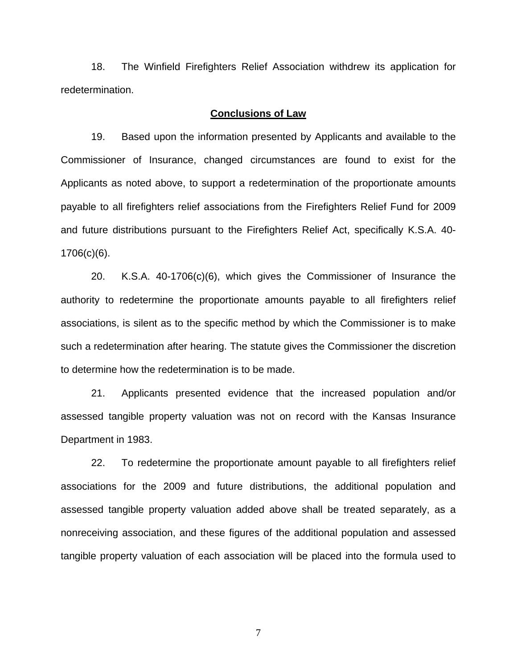18. The Winfield Firefighters Relief Association withdrew its application for redetermination.

## **Conclusions of Law**

19. Based upon the information presented by Applicants and available to the Commissioner of Insurance, changed circumstances are found to exist for the Applicants as noted above, to support a redetermination of the proportionate amounts payable to all firefighters relief associations from the Firefighters Relief Fund for 2009 and future distributions pursuant to the Firefighters Relief Act, specifically K.S.A. 40- 1706(c)(6).

 20. K.S.A. 40-1706(c)(6), which gives the Commissioner of Insurance the authority to redetermine the proportionate amounts payable to all firefighters relief associations, is silent as to the specific method by which the Commissioner is to make such a redetermination after hearing. The statute gives the Commissioner the discretion to determine how the redetermination is to be made.

 21. Applicants presented evidence that the increased population and/or assessed tangible property valuation was not on record with the Kansas Insurance Department in 1983.

22. To redetermine the proportionate amount payable to all firefighters relief associations for the 2009 and future distributions, the additional population and assessed tangible property valuation added above shall be treated separately, as a nonreceiving association, and these figures of the additional population and assessed tangible property valuation of each association will be placed into the formula used to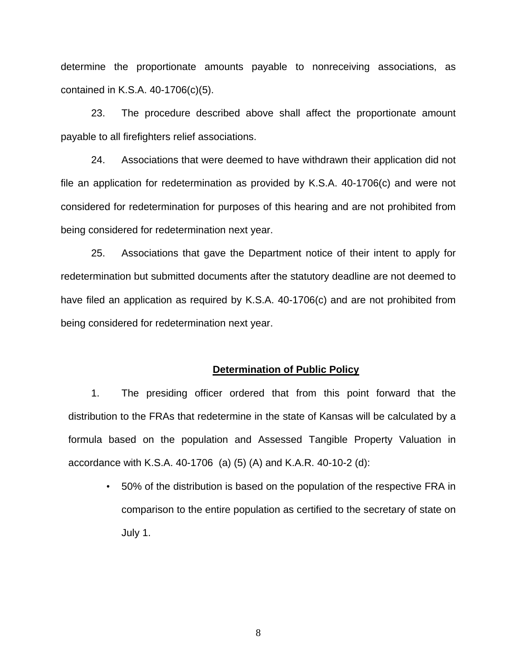determine the proportionate amounts payable to nonreceiving associations, as contained in K.S.A. 40-1706(c)(5).

23. The procedure described above shall affect the proportionate amount payable to all firefighters relief associations.

24. Associations that were deemed to have withdrawn their application did not file an application for redetermination as provided by K.S.A. 40-1706(c) and were not considered for redetermination for purposes of this hearing and are not prohibited from being considered for redetermination next year.

25. Associations that gave the Department notice of their intent to apply for redetermination but submitted documents after the statutory deadline are not deemed to have filed an application as required by K.S.A. 40-1706(c) and are not prohibited from being considered for redetermination next year.

#### **Determination of Public Policy**

1. The presiding officer ordered that from this point forward that the distribution to the FRAs that redetermine in the state of Kansas will be calculated by a formula based on the population and Assessed Tangible Property Valuation in accordance with K.S.A. 40-1706 (a) (5) (A) and K.A.R. 40-10-2 (d):

• 50% of the distribution is based on the population of the respective FRA in comparison to the entire population as certified to the secretary of state on July 1.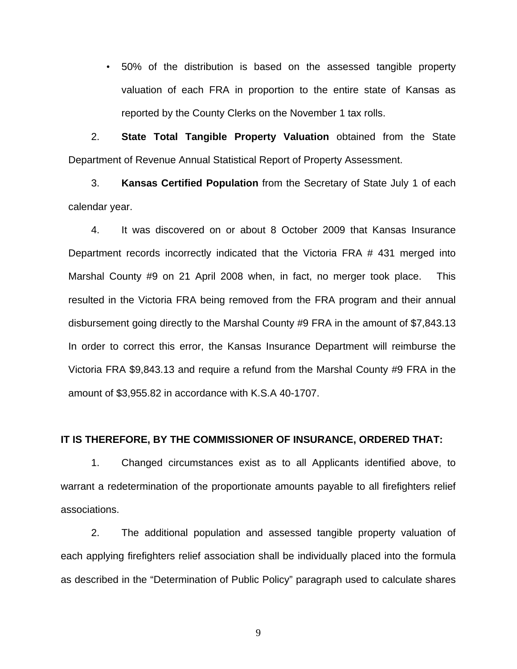• 50% of the distribution is based on the assessed tangible property valuation of each FRA in proportion to the entire state of Kansas as reported by the County Clerks on the November 1 tax rolls.

2. **State Total Tangible Property Valuation** obtained from the State Department of Revenue Annual Statistical Report of Property Assessment.

3. **Kansas Certified Population** from the Secretary of State July 1 of each calendar year.

4. It was discovered on or about 8 October 2009 that Kansas Insurance Department records incorrectly indicated that the Victoria FRA # 431 merged into Marshal County #9 on 21 April 2008 when, in fact, no merger took place. This resulted in the Victoria FRA being removed from the FRA program and their annual disbursement going directly to the Marshal County #9 FRA in the amount of \$7,843.13 In order to correct this error, the Kansas Insurance Department will reimburse the Victoria FRA \$9,843.13 and require a refund from the Marshal County #9 FRA in the amount of \$3,955.82 in accordance with K.S.A 40-1707.

# **IT IS THEREFORE, BY THE COMMISSIONER OF INSURANCE, ORDERED THAT:**

1. Changed circumstances exist as to all Applicants identified above, to warrant a redetermination of the proportionate amounts payable to all firefighters relief associations.

 2. The additional population and assessed tangible property valuation of each applying firefighters relief association shall be individually placed into the formula as described in the "Determination of Public Policy" paragraph used to calculate shares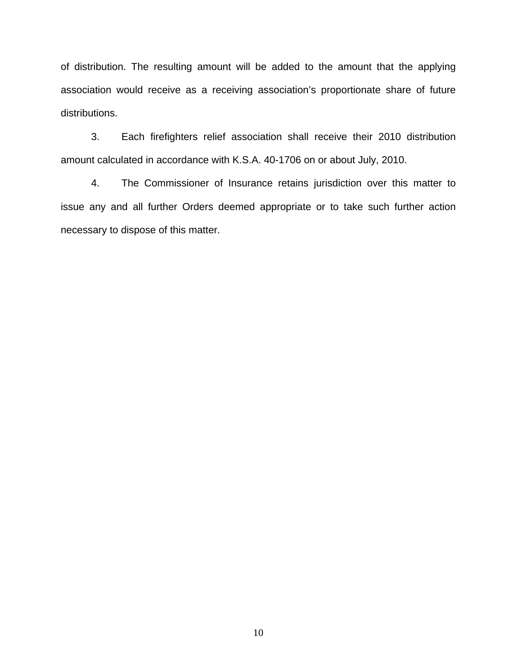of distribution. The resulting amount will be added to the amount that the applying association would receive as a receiving association's proportionate share of future distributions.

3. Each firefighters relief association shall receive their 2010 distribution amount calculated in accordance with K.S.A. 40-1706 on or about July, 2010.

4. The Commissioner of Insurance retains jurisdiction over this matter to issue any and all further Orders deemed appropriate or to take such further action necessary to dispose of this matter.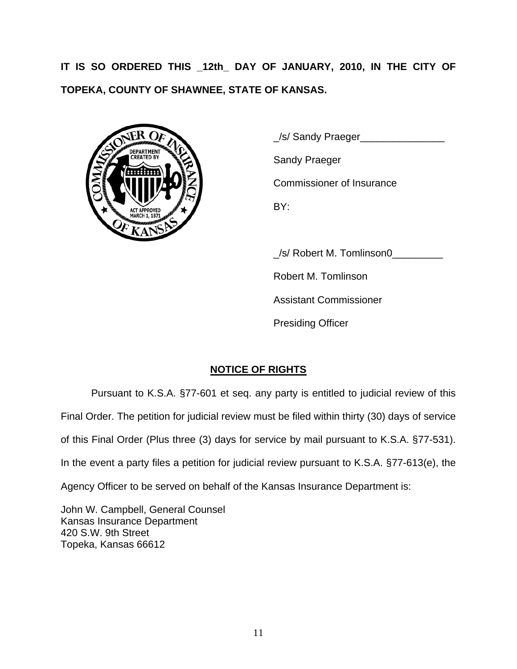**IT IS SO ORDERED THIS \_12th\_ DAY OF JANUARY, 2010, IN THE CITY OF TOPEKA, COUNTY OF SHAWNEE, STATE OF KANSAS.** 



 \_/s/ Sandy Praeger\_\_\_\_\_\_\_\_\_\_\_\_\_\_\_ Commissioner of Insurance

/s/ Robert M. Tomlinson0

Robert M. Tomlinson

Assistant Commissioner

Presiding Officer

# **NOTICE OF RIGHTS**

Pursuant to K.S.A. §77-601 et seq. any party is entitled to judicial review of this Final Order. The petition for judicial review must be filed within thirty (30) days of service of this Final Order (Plus three (3) days for service by mail pursuant to K.S.A. §77-531). In the event a party files a petition for judicial review pursuant to K.S.A. §77-613(e), the Agency Officer to be served on behalf of the Kansas Insurance Department is:

John W. Campbell, General Counsel Kansas Insurance Department 420 S.W. 9th Street Topeka, Kansas 66612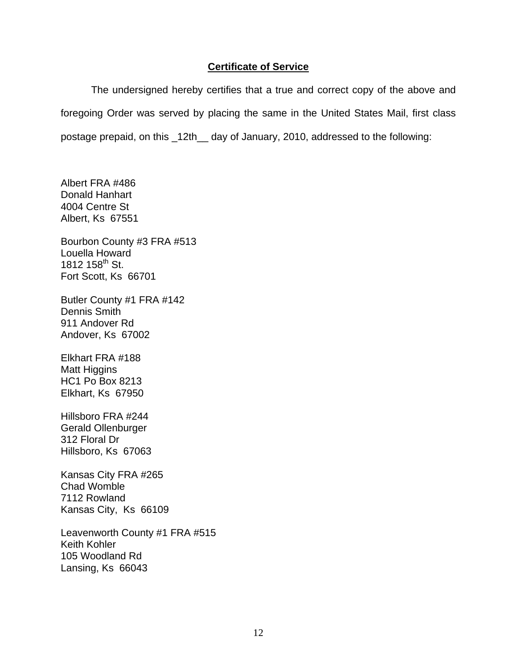# **Certificate of Service**

The undersigned hereby certifies that a true and correct copy of the above and foregoing Order was served by placing the same in the United States Mail, first class postage prepaid, on this \_12th\_\_ day of January, 2010, addressed to the following:

Albert FRA #486 Donald Hanhart 4004 Centre St Albert, Ks 67551

Bourbon County #3 FRA #513 Louella Howard 1812 158<sup>th</sup> St. Fort Scott, Ks 66701

Butler County #1 FRA #142 Dennis Smith 911 Andover Rd Andover, Ks 67002

Elkhart FRA #188 Matt Higgins HC1 Po Box 8213 Elkhart, Ks 67950

Hillsboro FRA #244 Gerald Ollenburger 312 Floral Dr Hillsboro, Ks 67063

Kansas City FRA #265 Chad Womble 7112 Rowland Kansas City, Ks 66109

Leavenworth County #1 FRA #515 Keith Kohler 105 Woodland Rd Lansing, Ks 66043